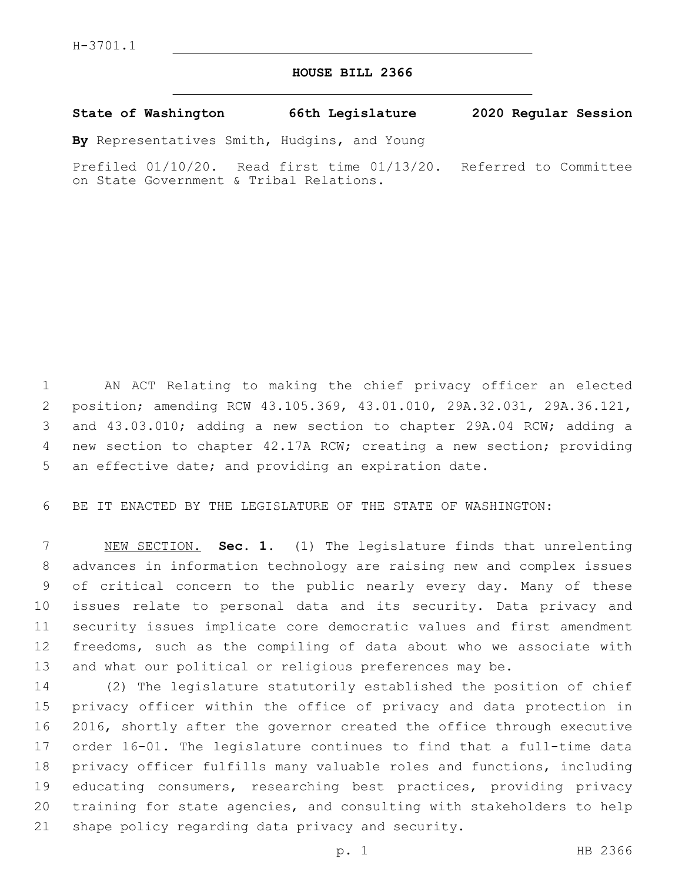## **HOUSE BILL 2366**

**State of Washington 66th Legislature 2020 Regular Session**

**By** Representatives Smith, Hudgins, and Young

Prefiled 01/10/20. Read first time 01/13/20. Referred to Committee on State Government & Tribal Relations.

 AN ACT Relating to making the chief privacy officer an elected position; amending RCW 43.105.369, 43.01.010, 29A.32.031, 29A.36.121, and 43.03.010; adding a new section to chapter 29A.04 RCW; adding a new section to chapter 42.17A RCW; creating a new section; providing an effective date; and providing an expiration date.

BE IT ENACTED BY THE LEGISLATURE OF THE STATE OF WASHINGTON:

 NEW SECTION. **Sec. 1.** (1) The legislature finds that unrelenting advances in information technology are raising new and complex issues of critical concern to the public nearly every day. Many of these issues relate to personal data and its security. Data privacy and security issues implicate core democratic values and first amendment freedoms, such as the compiling of data about who we associate with and what our political or religious preferences may be.

 (2) The legislature statutorily established the position of chief privacy officer within the office of privacy and data protection in 2016, shortly after the governor created the office through executive order 16-01. The legislature continues to find that a full-time data privacy officer fulfills many valuable roles and functions, including educating consumers, researching best practices, providing privacy training for state agencies, and consulting with stakeholders to help 21 shape policy regarding data privacy and security.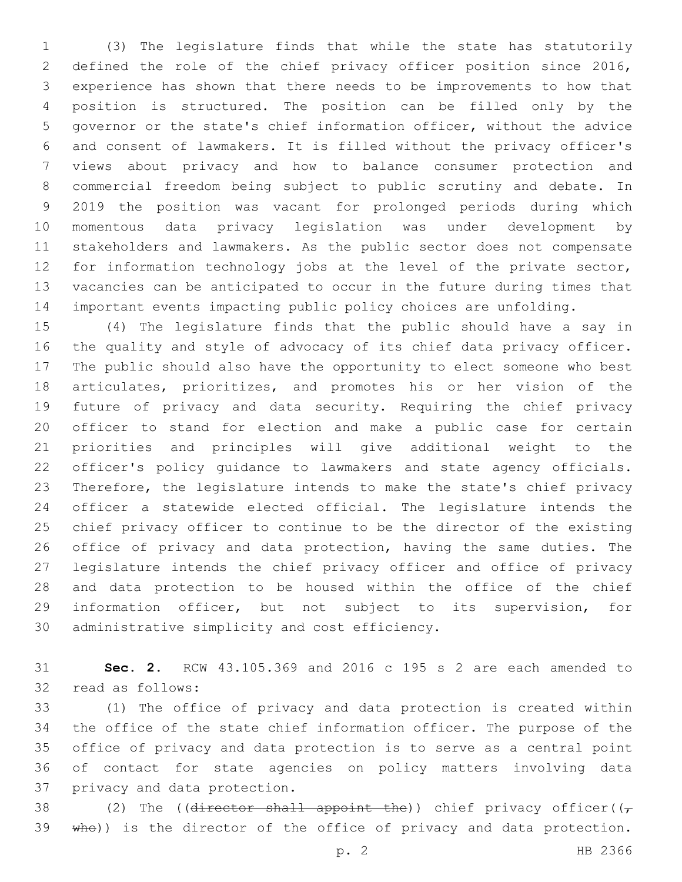(3) The legislature finds that while the state has statutorily defined the role of the chief privacy officer position since 2016, experience has shown that there needs to be improvements to how that position is structured. The position can be filled only by the governor or the state's chief information officer, without the advice and consent of lawmakers. It is filled without the privacy officer's views about privacy and how to balance consumer protection and commercial freedom being subject to public scrutiny and debate. In 2019 the position was vacant for prolonged periods during which momentous data privacy legislation was under development by stakeholders and lawmakers. As the public sector does not compensate for information technology jobs at the level of the private sector, vacancies can be anticipated to occur in the future during times that important events impacting public policy choices are unfolding.

 (4) The legislature finds that the public should have a say in the quality and style of advocacy of its chief data privacy officer. The public should also have the opportunity to elect someone who best articulates, prioritizes, and promotes his or her vision of the future of privacy and data security. Requiring the chief privacy officer to stand for election and make a public case for certain priorities and principles will give additional weight to the officer's policy guidance to lawmakers and state agency officials. Therefore, the legislature intends to make the state's chief privacy officer a statewide elected official. The legislature intends the chief privacy officer to continue to be the director of the existing office of privacy and data protection, having the same duties. The legislature intends the chief privacy officer and office of privacy and data protection to be housed within the office of the chief information officer, but not subject to its supervision, for 30 administrative simplicity and cost efficiency.

 **Sec. 2.** RCW 43.105.369 and 2016 c 195 s 2 are each amended to 32 read as follows:

 (1) The office of privacy and data protection is created within the office of the state chief information officer. The purpose of the office of privacy and data protection is to serve as a central point of contact for state agencies on policy matters involving data 37 privacy and data protection.

38 (2) The ((director shall appoint the)) chief privacy officer( $(\tau$ 39 who)) is the director of the office of privacy and data protection.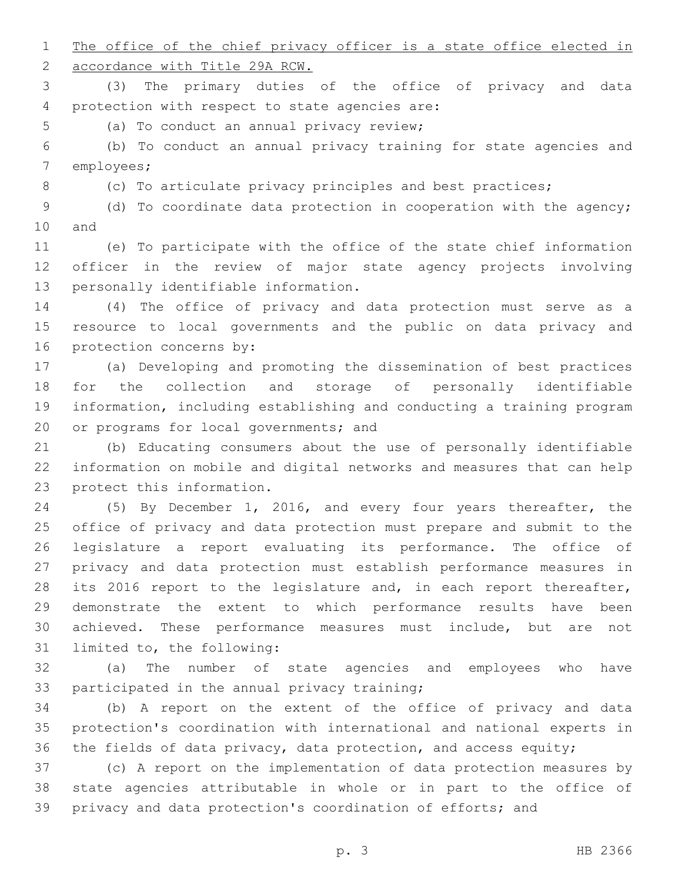1 The office of the chief privacy officer is a state office elected in

accordance with Title 29A RCW.

 (3) The primary duties of the office of privacy and data 4 protection with respect to state agencies are:

5 (a) To conduct an annual privacy review;

 (b) To conduct an annual privacy training for state agencies and 7 employees;

8 (c) To articulate privacy principles and best practices;

 (d) To coordinate data protection in cooperation with the agency; 10 and

 (e) To participate with the office of the state chief information officer in the review of major state agency projects involving 13 personally identifiable information.

 (4) The office of privacy and data protection must serve as a resource to local governments and the public on data privacy and 16 protection concerns by:

 (a) Developing and promoting the dissemination of best practices for the collection and storage of personally identifiable information, including establishing and conducting a training program 20 or programs for local governments; and

 (b) Educating consumers about the use of personally identifiable information on mobile and digital networks and measures that can help 23 protect this information.

 (5) By December 1, 2016, and every four years thereafter, the office of privacy and data protection must prepare and submit to the legislature a report evaluating its performance. The office of privacy and data protection must establish performance measures in 28 its 2016 report to the legislature and, in each report thereafter, demonstrate the extent to which performance results have been achieved. These performance measures must include, but are not 31 limited to, the following:

 (a) The number of state agencies and employees who have 33 participated in the annual privacy training;

 (b) A report on the extent of the office of privacy and data protection's coordination with international and national experts in the fields of data privacy, data protection, and access equity;

 (c) A report on the implementation of data protection measures by state agencies attributable in whole or in part to the office of privacy and data protection's coordination of efforts; and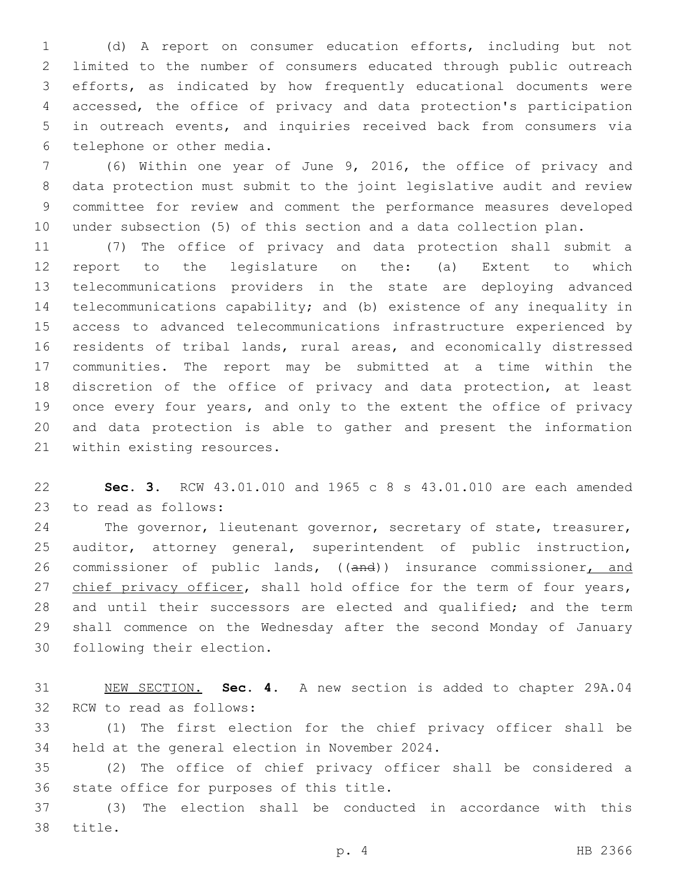(d) A report on consumer education efforts, including but not limited to the number of consumers educated through public outreach efforts, as indicated by how frequently educational documents were accessed, the office of privacy and data protection's participation in outreach events, and inquiries received back from consumers via 6 telephone or other media.

 (6) Within one year of June 9, 2016, the office of privacy and data protection must submit to the joint legislative audit and review committee for review and comment the performance measures developed under subsection (5) of this section and a data collection plan.

 (7) The office of privacy and data protection shall submit a report to the legislature on the: (a) Extent to which telecommunications providers in the state are deploying advanced telecommunications capability; and (b) existence of any inequality in access to advanced telecommunications infrastructure experienced by residents of tribal lands, rural areas, and economically distressed communities. The report may be submitted at a time within the discretion of the office of privacy and data protection, at least 19 once every four years, and only to the extent the office of privacy and data protection is able to gather and present the information 21 within existing resources.

 **Sec. 3.** RCW 43.01.010 and 1965 c 8 s 43.01.010 are each amended 23 to read as follows:

24 The governor, lieutenant governor, secretary of state, treasurer, auditor, attorney general, superintendent of public instruction, 26 commissioner of public lands, ((and)) insurance commissioner, and 27 chief privacy officer, shall hold office for the term of four years, and until their successors are elected and qualified; and the term shall commence on the Wednesday after the second Monday of January 30 following their election.

 NEW SECTION. **Sec. 4.** A new section is added to chapter 29A.04 32 RCW to read as follows:

 (1) The first election for the chief privacy officer shall be 34 held at the general election in November 2024.

 (2) The office of chief privacy officer shall be considered a 36 state office for purposes of this title.

 (3) The election shall be conducted in accordance with this 38 title.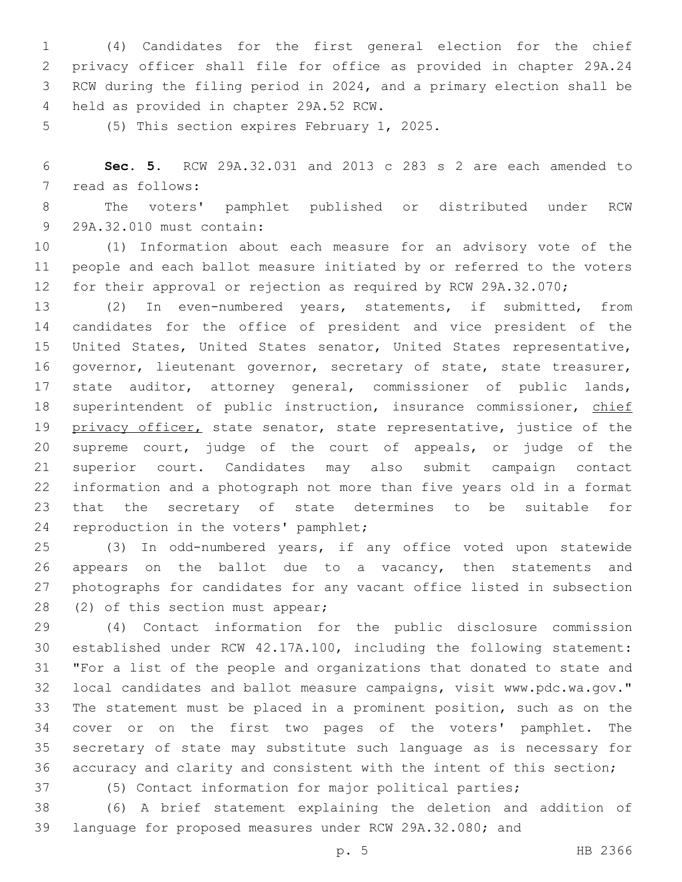(4) Candidates for the first general election for the chief privacy officer shall file for office as provided in chapter 29A.24 RCW during the filing period in 2024, and a primary election shall be 4 held as provided in chapter 29A.52 RCW.

5 (5) This section expires February 1, 2025.

 **Sec. 5.** RCW 29A.32.031 and 2013 c 283 s 2 are each amended to 7 read as follows:

 The voters' pamphlet published or distributed under RCW 29A.32.010 must contain:9

 (1) Information about each measure for an advisory vote of the people and each ballot measure initiated by or referred to the voters for their approval or rejection as required by RCW 29A.32.070;

 (2) In even-numbered years, statements, if submitted, from candidates for the office of president and vice president of the United States, United States senator, United States representative, 16 governor, lieutenant governor, secretary of state, state treasurer, state auditor, attorney general, commissioner of public lands, 18 superintendent of public instruction, insurance commissioner, chief 19 privacy officer, state senator, state representative, justice of the supreme court, judge of the court of appeals, or judge of the superior court. Candidates may also submit campaign contact information and a photograph not more than five years old in a format that the secretary of state determines to be suitable for 24 reproduction in the voters' pamphlet;

 (3) In odd-numbered years, if any office voted upon statewide 26 appears on the ballot due to a vacancy, then statements and photographs for candidates for any vacant office listed in subsection 28 (2) of this section must appear;

 (4) Contact information for the public disclosure commission established under RCW 42.17A.100, including the following statement: "For a list of the people and organizations that donated to state and local candidates and ballot measure campaigns, visit www.pdc.wa.gov." The statement must be placed in a prominent position, such as on the cover or on the first two pages of the voters' pamphlet. The secretary of state may substitute such language as is necessary for accuracy and clarity and consistent with the intent of this section;

(5) Contact information for major political parties;

 (6) A brief statement explaining the deletion and addition of language for proposed measures under RCW 29A.32.080; and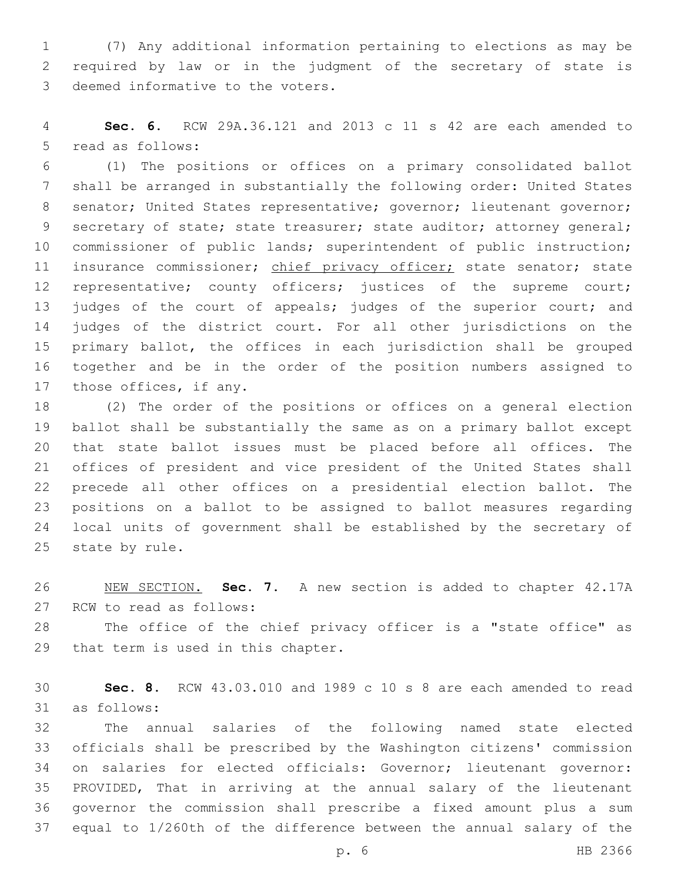(7) Any additional information pertaining to elections as may be required by law or in the judgment of the secretary of state is 3 deemed informative to the voters.

 **Sec. 6.** RCW 29A.36.121 and 2013 c 11 s 42 are each amended to 5 read as follows:

 (1) The positions or offices on a primary consolidated ballot shall be arranged in substantially the following order: United States 8 senator; United States representative; governor; lieutenant governor; 9 secretary of state; state treasurer; state auditor; attorney general; commissioner of public lands; superintendent of public instruction; 11 insurance commissioner; chief privacy officer; state senator; state 12 representative; county officers; justices of the supreme court; 13 judges of the court of appeals; judges of the superior court; and judges of the district court. For all other jurisdictions on the primary ballot, the offices in each jurisdiction shall be grouped together and be in the order of the position numbers assigned to 17 those offices, if any.

 (2) The order of the positions or offices on a general election ballot shall be substantially the same as on a primary ballot except that state ballot issues must be placed before all offices. The offices of president and vice president of the United States shall precede all other offices on a presidential election ballot. The positions on a ballot to be assigned to ballot measures regarding local units of government shall be established by the secretary of 25 state by rule.

 NEW SECTION. **Sec. 7.** A new section is added to chapter 42.17A 27 RCW to read as follows:

 The office of the chief privacy officer is a "state office" as 29 that term is used in this chapter.

 **Sec. 8.** RCW 43.03.010 and 1989 c 10 s 8 are each amended to read 31 as follows:

 The annual salaries of the following named state elected officials shall be prescribed by the Washington citizens' commission on salaries for elected officials: Governor; lieutenant governor: PROVIDED, That in arriving at the annual salary of the lieutenant governor the commission shall prescribe a fixed amount plus a sum equal to 1/260th of the difference between the annual salary of the